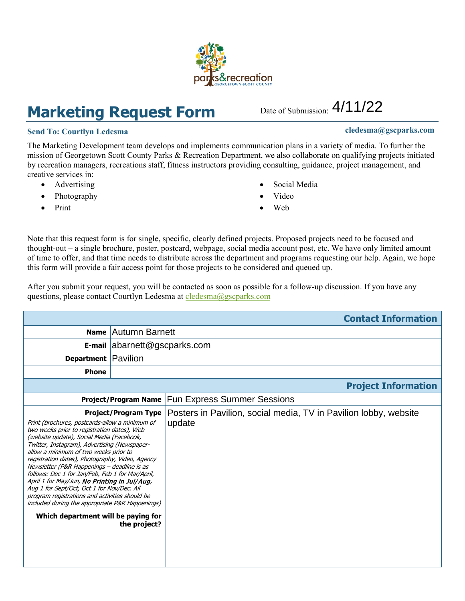## **Marketing Request Form**

## **Send To:** Courtlyn Ledesma **cledesma cledesma cledesma cledesma cledesma cledesma cledesma cledesma c**

The Marketing Development team develops and implements communication plans in a variety of media. To further the mission of Georgetown Scott County Parks & Recreation Department, we also collaborate on qualifying projects initiated by recreation managers, recreations staff, fitness instructors providing consulting, guidance, project management, and creative services in:

- Advertising
- Photography
- Print
- Social Media
- Video
- Web

Note that this request form is for single, specific, clearly defined projects. Proposed projects need to be focused and thought-out – a single brochure, poster, postcard, webpage, social media account post, etc. We have only limited amount of time to offer, and that time needs to distribute across the department and programs requesting our help. Again, we hope this form will provide a fair access point for those projects to be considered and queued up.

After you submit your request, you will be contacted as soon as possible for a follow-up discussion. If you have any questions, please contact Courtlyn Ledesma at [cledesma](mailto:krice@gscparks.com)@gscparks.com

|                                                                                                                                                                                                                                                                                                                                                                                                                                                                                                                                                                                                                                        |                              | <b>Contact Information</b>                                                 |  |
|----------------------------------------------------------------------------------------------------------------------------------------------------------------------------------------------------------------------------------------------------------------------------------------------------------------------------------------------------------------------------------------------------------------------------------------------------------------------------------------------------------------------------------------------------------------------------------------------------------------------------------------|------------------------------|----------------------------------------------------------------------------|--|
| <b>Name</b>                                                                                                                                                                                                                                                                                                                                                                                                                                                                                                                                                                                                                            | Autumn Barnett               |                                                                            |  |
|                                                                                                                                                                                                                                                                                                                                                                                                                                                                                                                                                                                                                                        | E-mail abarnett@gscparks.com |                                                                            |  |
| <b>Department Pavilion</b>                                                                                                                                                                                                                                                                                                                                                                                                                                                                                                                                                                                                             |                              |                                                                            |  |
| <b>Phone</b>                                                                                                                                                                                                                                                                                                                                                                                                                                                                                                                                                                                                                           |                              |                                                                            |  |
| <b>Project Information</b>                                                                                                                                                                                                                                                                                                                                                                                                                                                                                                                                                                                                             |                              |                                                                            |  |
|                                                                                                                                                                                                                                                                                                                                                                                                                                                                                                                                                                                                                                        | <b>Project/Program Name</b>  | <b>Fun Express Summer Sessions</b>                                         |  |
| <b>Project/Program Type</b><br>Print (brochures, postcards-allow a minimum of<br>two weeks prior to registration dates), Web<br>(website update), Social Media (Facebook,<br>Twitter, Instagram), Advertising (Newspaper-<br>allow a minimum of two weeks prior to<br>registration dates), Photography, Video, Agency<br>Newsletter (P&R Happenings - deadline is as<br>follows: Dec 1 for Jan/Feb, Feb 1 for Mar/April,<br>April 1 for May/Jun, No Printing in Jul/Aug,<br>Aug 1 for Sept/Oct, Oct 1 for Nov/Dec. All<br>program registrations and activities should be<br><i>included during the appropriate P&amp;R Happenings)</i> |                              | Posters in Pavilion, social media, TV in Pavilion lobby, website<br>update |  |
| Which department will be paying for                                                                                                                                                                                                                                                                                                                                                                                                                                                                                                                                                                                                    | the project?                 |                                                                            |  |



Date of Submission: 4/11/22